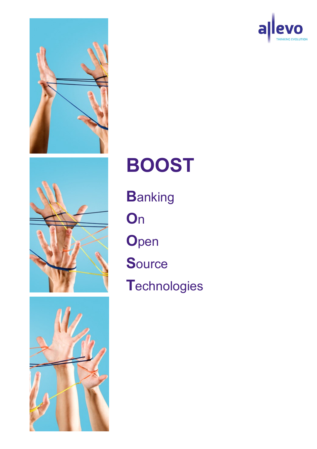







# **BOOST**

**B**anking

**O**n

**O**pen

**S**ource

**T**echnologies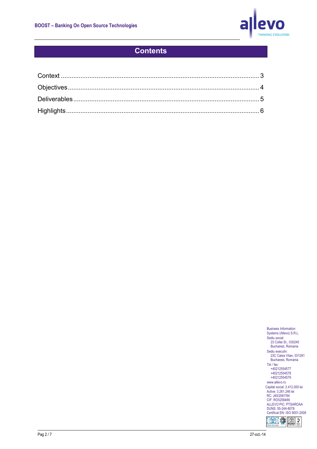

## **Contents**

Business Information Systems (Allevo) S.R.L. Sediu social: 23 Coltei St., 030245 Bucharest, Romania Sediu executiv: 23C Calea Vitan, 031281 Bucharest, Romania Tel / fax: +40212554577 +40212554578 +40212554579 www.allevo.ro Capital social: 2.412.000 lei Active: 3.261.246 lei RC: J40/2067/94 CIF: RO5258486 ALLEVO PIC: PTSAROAA DUNS: 55-244-8078 Certificat EN: ISO 9001:2008 **IXI & NOON**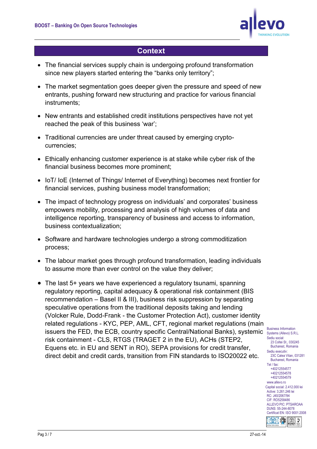

### **Context**

- <span id="page-2-0"></span>• The financial services supply chain is undergoing profound transformation since new players started entering the "banks only territory";
- The market segmentation goes deeper given the pressure and speed of new entrants, pushing forward new structuring and practice for various financial instruments;
- New entrants and established credit institutions perspectives have not yet reached the peak of this business 'war';
- Traditional currencies are under threat caused by emerging cryptocurrencies;
- Ethically enhancing customer experience is at stake while cyber risk of the financial business becomes more prominent;
- IoT/ IoE (Internet of Things/ Internet of Everything) becomes next frontier for financial services, pushing business model transformation;
- The impact of technology progress on individuals' and corporates' business empowers mobility, processing and analysis of high volumes of data and intelligence reporting, transparency of business and access to information, business contextualization;
- Software and hardware technologies undergo a strong commoditization process;
- The labour market goes through profound transformation, leading individuals to assume more than ever control on the value they deliver;
- Business Information issuers the FED, the ECB, country specific Central/National Banks), systemic  $\frac{BUSI(BS)}{SystemS (AII)$  Systems (Allevo) S.R.L. • The last 5+ years we have experienced a regulatory tsunami, spanning regulatory reporting, capital adequacy & operational risk containment (BIS recommendation – Basel II & III), business risk suppression by separating speculative operations from the traditional deposits taking and lending (Volcker Rule, Dodd-Frank - the Customer Protection Act), customer identity related regulations - KYC, PEP, AML, CFT, regional market regulations (main risk containment - CLS, RTGS (TRAGET 2 in the EU), ACHs (STEP2, Equens etc. in EU and SENT in RO), SEPA provisions for credit transfer, direct debit and credit cards, transition from FIN standards to ISO20022 etc.

Sediu social: 23 Coltei St., 030245 Bucharest, Romania Sediu executiv: 23C Calea Vitan, 031281 Bucharest, Romania Tel / fax: +40212554577 +40212554578 +40212554579 www.allevo.ro Capital social: 2.412.000 lei Active: 3.261.246 lei RC: J40/2067/94 CIF: RO5258486 ALLEVO PIC: PTSAROAA DUNS: 55-244-8078 Certificat EN: ISO 9001:2008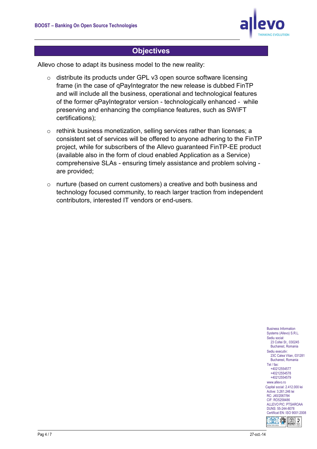

#### **Objectives**

<span id="page-3-0"></span>Allevo chose to adapt its business model to the new reality:

- o distribute its products under GPL v3 open source software licensing frame (in the case of qPayIntegrator the new release is dubbed FinTP and will include all the business, operational and technological features of the former qPayIntegrator version - technologically enhanced - while preserving and enhancing the compliance features, such as SWIFT certifications);
- o rethink business monetization, selling services rather than licenses; a consistent set of services will be offered to anyone adhering to the FinTP project, while for subscribers of the Allevo guaranteed FinTP-EE product (available also in the form of cloud enabled Application as a Service) comprehensive SLAs - ensuring timely assistance and problem solving are provided;
- o nurture (based on current customers) a creative and both business and technology focused community, to reach larger traction from independent contributors, interested IT vendors or end-users.

Business Information Systems (Allevo) S.R.L. Sediu social: 23 Coltei St., 030245 Bucharest, Romania Sediu executiv: 23C Calea Vitan, 031281 Bucharest, Romania Tel / fax: +40212554577 +40212554578 +40212554579 www.allevo.ro Capital social: 2.412.000 lei Active: 3.261.246 lei RC: J40/2067/94 CIF: RO5258486 ALLEVO PIC: PTSAROAA DUNS: 55-244-8078 Certificat EN: ISO 9001:2008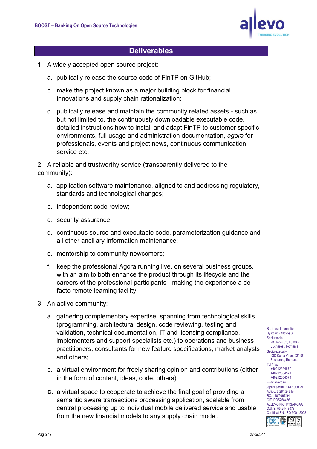

#### **Deliverables**

- <span id="page-4-0"></span>1. A widely accepted open source project:
	- a. publically release the source code of FinTP on GitHub;
	- b. make the project known as a major building block for financial innovations and supply chain rationalization;
	- c. publically release and maintain the community related assets such as, but not limited to, the continuously downloadable executable code, detailed instructions how to install and adapt FinTP to customer specific environments, full usage and administration documentation, *agora* for professionals, events and project news, continuous communication service etc.

2. A reliable and trustworthy service (transparently delivered to the community):

- a. application software maintenance, aligned to and addressing regulatory, standards and technological changes;
- b. independent code review;
- c. security assurance;
- d. continuous source and executable code, parameterization guidance and all other ancillary information maintenance;
- e. mentorship to community newcomers;
- f. keep the professional Agora running live, on several business groups, with an aim to both enhance the product through its lifecycle and the careers of the professional participants - making the experience a de facto remote learning facility;
- 3. An active community:
	- a. gathering complementary expertise, spanning from technological skills (programming, architectural design, code reviewing, testing and validation, technical documentation, IT and licensing compliance, implementers and support specialists etc.) to operations and business practitioners, consultants for new feature specifications, market analysts and others;
	- b. a virtual environment for freely sharing opinion and contributions (either in the form of content, ideas, code, others);
	- **c.** a virtual space to cooperate to achieve the final goal of providing a semantic aware transactions processing application, scalable from central processing up to individual mobile delivered service and usable from the new financial models to any supply chain model.

Systems (Allevo) S.R.L. Sediu social: 23 Coltei St., 030245 Bucharest, Romania Sediu executiv: 23C Calea Vitan, 031281 Bucharest, Romania Tel / fax: +40212554577 +40212554578 +40212554579 www.allevo.ro Capital social: 2.412.000 lei Active: 3.261.246 lei RC: J40/2067/94 CIF: RO5258486 ALLEVO PIC: PTSAROAA DUNS: 55-244-8078 Certificat EN: ISO 9001:2008

Business Information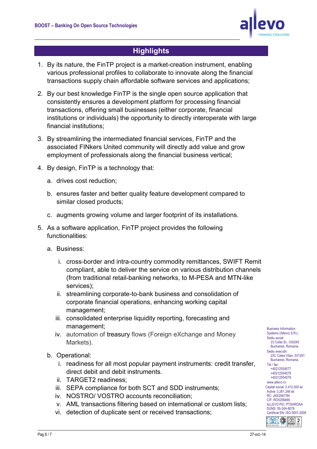

## **Highlights**

- <span id="page-5-0"></span>1. By its nature, the FinTP project is a market-creation instrument, enabling various professional profiles to collaborate to innovate along the financial transactions supply chain affordable software services and applications;
- 2. By our best knowledge FinTP is the single open source application that consistently ensures a development platform for processing financial transactions, offering small businesses (either corporate, financial institutions or individuals) the opportunity to directly interoperate with large financial institutions;
- 3. By streamlining the intermediated financial services, FinTP and the associated FINkers United community will directly add value and grow employment of professionals along the financial business vertical;
- 4. By design, FinTP is a technology that:
	- a. drives cost reduction;
	- b. ensures faster and better quality feature development compared to similar closed products;
	- c. augments growing volume and larger footprint of its installations.
- 5. As a software application, FinTP project provides the following functionalities:
	- a. Business:
		- i. cross-border and intra-country commodity remittances, SWIFT Remit compliant, able to deliver the service on various distribution channels (from traditional retail-banking networks, to M-PESA and MTN-like services);
		- ii. streamlining corporate-to-bank business and consolidation of corporate financial operations, enhancing working capital management;
		- iii. consolidated enterprise liquidity reporting, forecasting and management;
		- iv. automation of treasury flows (Foreign eXchange and Money Markets).
	- b. Operational:
		- i. readiness for all most popular payment instruments: credit transfer, direct debit and debit instruments.
		- ii. TARGET2 readiness;
		- iii. SEPA compliance for both SCT and SDD instruments;
		- iv. NOSTRO/ VOSTRO accounts reconciliation;
		- v. AML transactions filtering based on international or custom lists;
		- vi. detection of duplicate sent or received transactions;

Business Information Systems (Allevo) S.R.L. Sediu social: 23 Coltei St., 030245 Bucharest, Romania Sediu executiv: 23C Calea Vitan, 031281 Bucharest, Romania Tel / fax: +40212554577 +40212554578 +40212554579 www.allevo.ro Capital social: 2.412.000 lei Active: 3.261.246 lei RC: J40/2067/94 CIF: RO5258486 ALLEVO PIC: PTSAROAA DUNS: 55-244-8078 Certificat EN: ISO 9001:2008